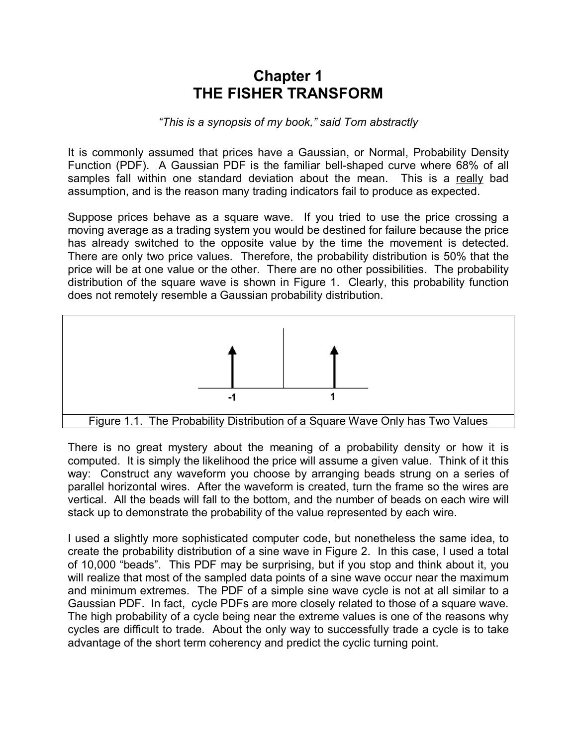## **Chapter 1 THE FISHER TRANSFORM**

## *"This is a synopsis of my book," said Tom abstractly*

It is commonly assumed that prices have a Gaussian, or Normal, Probability Density Function (PDF). A Gaussian PDF is the familiar bell-shaped curve where 68% of all samples fall within one standard deviation about the mean. This is a really bad assumption, and is the reason many trading indicators fail to produce as expected.

Suppose prices behave as a square wave. If you tried to use the price crossing a moving average as a trading system you would be destined for failure because the price has already switched to the opposite value by the time the movement is detected. There are only two price values. Therefore, the probability distribution is 50% that the price will be at one value or the other. There are no other possibilities. The probability distribution of the square wave is shown in Figure 1. Clearly, this probability function does not remotely resemble a Gaussian probability distribution.



There is no great mystery about the meaning of a probability density or how it is computed. It is simply the likelihood the price will assume a given value. Think of it this way: Construct any waveform you choose by arranging beads strung on a series of parallel horizontal wires. After the waveform is created, turn the frame so the wires are vertical. All the beads will fall to the bottom, and the number of beads on each wire will stack up to demonstrate the probability of the value represented by each wire.

I used a slightly more sophisticated computer code, but nonetheless the same idea, to create the probability distribution of a sine wave in Figure 2. In this case, I used a total of 10,000 "beads". This PDF may be surprising, but if you stop and think about it, you will realize that most of the sampled data points of a sine wave occur near the maximum and minimum extremes. The PDF of a simple sine wave cycle is not at all similar to a Gaussian PDF. In fact, cycle PDFs are more closely related to those of a square wave. The high probability of a cycle being near the extreme values is one of the reasons why cycles are difficult to trade. About the only way to successfully trade a cycle is to take advantage of the short term coherency and predict the cyclic turning point.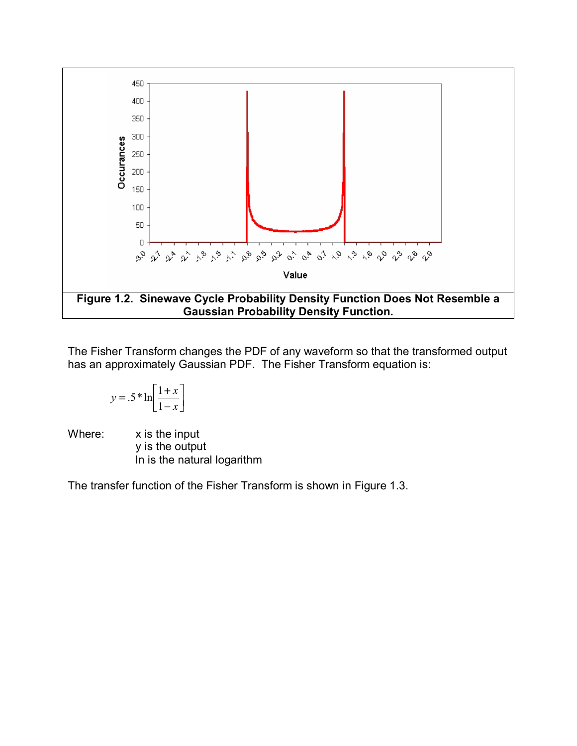

The Fisher Transform changes the PDF of any waveform so that the transformed output has an approximately Gaussian PDF. The Fisher Transform equation is:

$$
y = .5 * \ln\left[\frac{1+x}{1-x}\right]
$$

Where: x is the input y is the output ln is the natural logarithm

The transfer function of the Fisher Transform is shown in Figure 1.3.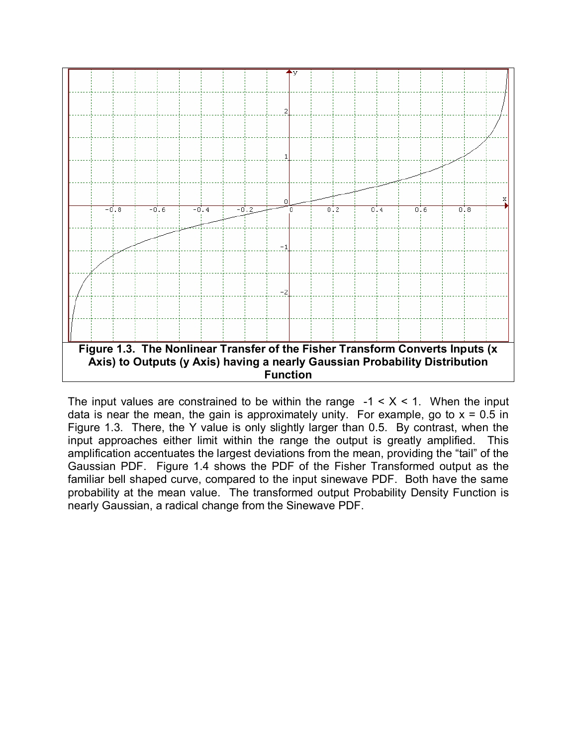

The input values are constrained to be within the range  $-1 < X < 1$ . When the input data is near the mean, the gain is approximately unity. For example, go to  $x = 0.5$  in Figure 1.3. There, the Y value is only slightly larger than 0.5. By contrast, when the input approaches either limit within the range the output is greatly amplified. This amplification accentuates the largest deviations from the mean, providing the "tail" of the Gaussian PDF. Figure 1.4 shows the PDF of the Fisher Transformed output as the familiar bell shaped curve, compared to the input sinewave PDF. Both have the same probability at the mean value. The transformed output Probability Density Function is nearly Gaussian, a radical change from the Sinewave PDF.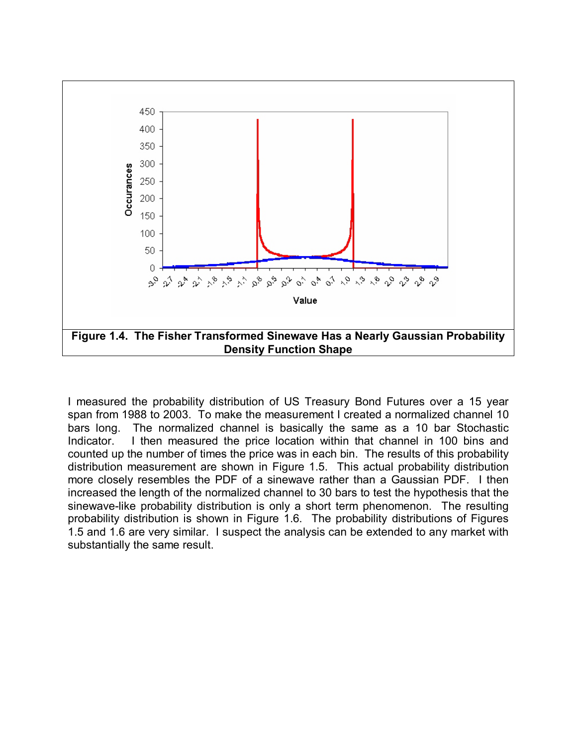

I measured the probability distribution of US Treasury Bond Futures over a 15 year span from 1988 to 2003. To make the measurement I created a normalized channel 10 bars long. The normalized channel is basically the same as a 10 bar Stochastic Indicator. I then measured the price location within that channel in 100 bins and counted up the number of times the price was in each bin. The results of this probability distribution measurement are shown in Figure 1.5. This actual probability distribution more closely resembles the PDF of a sinewave rather than a Gaussian PDF. I then increased the length of the normalized channel to 30 bars to test the hypothesis that the sinewave-like probability distribution is only a short term phenomenon. The resulting probability distribution is shown in Figure 1.6. The probability distributions of Figures 1.5 and 1.6 are very similar. I suspect the analysis can be extended to any market with substantially the same result.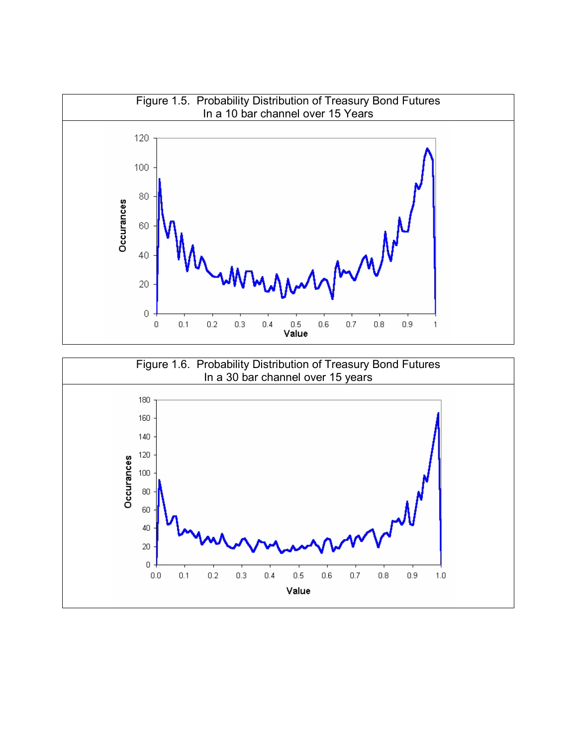

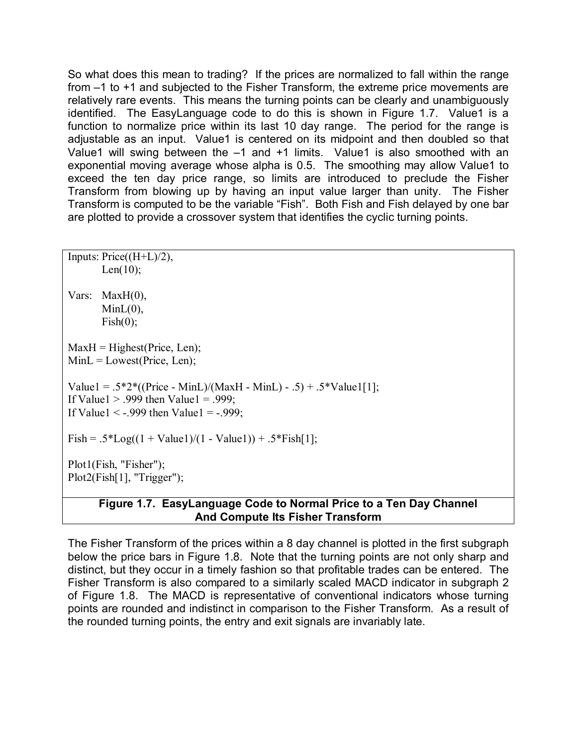So what does this mean to trading? If the prices are normalized to fall within the range from –1 to +1 and subjected to the Fisher Transform, the extreme price movements are relatively rare events. This means the turning points can be clearly and unambiguously identified. The EasyLanguage code to do this is shown in Figure 1.7. Value1 is a function to normalize price within its last 10 day range. The period for the range is adjustable as an input. Value1 is centered on its midpoint and then doubled so that Value1 will swing between the  $-1$  and  $+1$  limits. Value1 is also smoothed with an exponential moving average whose alpha is 0.5. The smoothing may allow Value1 to exceed the ten day price range, so limits are introduced to preclude the Fisher Transform from blowing up by having an input value larger than unity. The Fisher Transform is computed to be the variable "Fish". Both Fish and Fish delayed by one bar are plotted to provide a crossover system that identifies the cyclic turning points.

```
Inputs: Price((H+L)/2),
       Len(10);
Vars: MaxH(0), 
       MinL(0),
       Fish(0);
MaxH = Higher(Price, Len);MinL = Loves(Price, Len);Value1 = .5*2*((Price - MinL)/(MaxH - MinL) - .5) + .5*Value1[1];If Value1 > .999 then Value1 = .999;
If Value1 \leq -.999 then Value1 = -.999;
Fish = .5 * Log((1 + Value1)/(1 - Value1)) + .5 * Fish[1];Plot1(Fish, "Fisher"); 
Plot2(Fish[1], "Trigger");
```
## **Figure 1.7. EasyLanguage Code to Normal Price to a Ten Day Channel And Compute Its Fisher Transform**

The Fisher Transform of the prices within a 8 day channel is plotted in the first subgraph below the price bars in Figure 1.8. Note that the turning points are not only sharp and distinct, but they occur in a timely fashion so that profitable trades can be entered. The Fisher Transform is also compared to a similarly scaled MACD indicator in subgraph 2 of Figure 1.8. The MACD is representative of conventional indicators whose turning points are rounded and indistinct in comparison to the Fisher Transform. As a result of the rounded turning points, the entry and exit signals are invariably late.